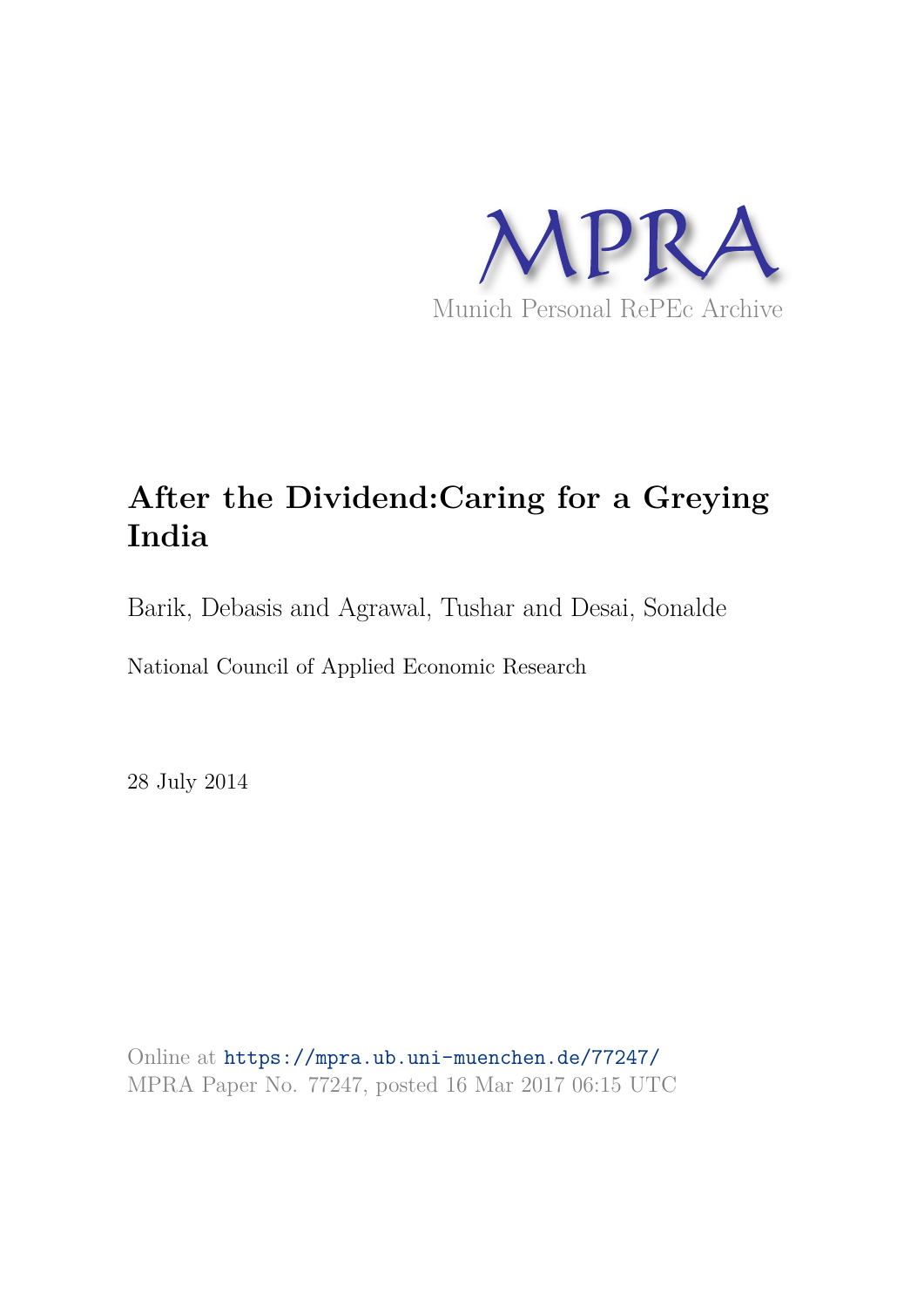

# **After the Dividend:Caring for a Greying India**

Barik, Debasis and Agrawal, Tushar and Desai, Sonalde

National Council of Applied Economic Research

28 July 2014

Online at https://mpra.ub.uni-muenchen.de/77247/ MPRA Paper No. 77247, posted 16 Mar 2017 06:15 UTC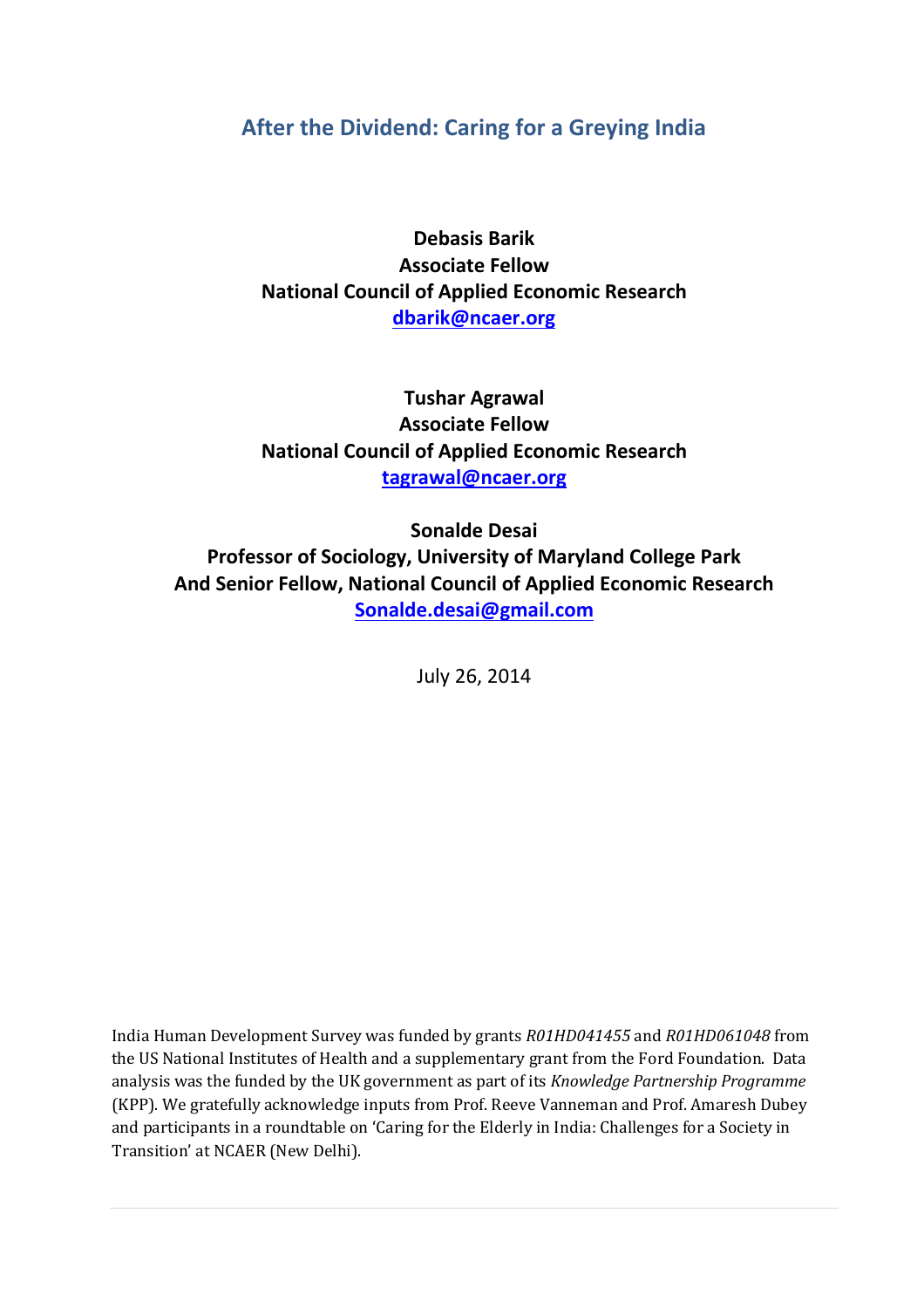# **After the Dividend: Caring for a Greying India**

**Debasis Barik Associate Fellow National Council of Applied Economic Research [dbarik@ncaer.org](mailto:dbarik@ncaer.org)**

**Tushar Agrawal Associate Fellow National Council of Applied Economic Research [tagrawal@ncaer.org](mailto:tagrawal@ncaer.org)**

**Sonalde Desai Professor of Sociology, University of Maryland College Park And Senior Fellow, National Council of Applied Economic Research [Sonalde.desai@gmail.com](mailto:Sonalde.desai@gmail.com)**

July 26, 2014

India Human Development Survey was funded by grants *R01HD041455* and *R01HD061048* from the US National Institutes of Health and a supplementary grant from the Ford Foundation. Data analysis was the funded by the UK government as part of its *Knowledge Partnership Programme* (KPP). We gratefully acknowledge inputs from Prof. Reeve Vanneman and Prof. Amaresh Dubey and participants in a roundtable on 'Caring for the Elderly in India: Challenges for a Society in Transition' at NCAER (New Delhi).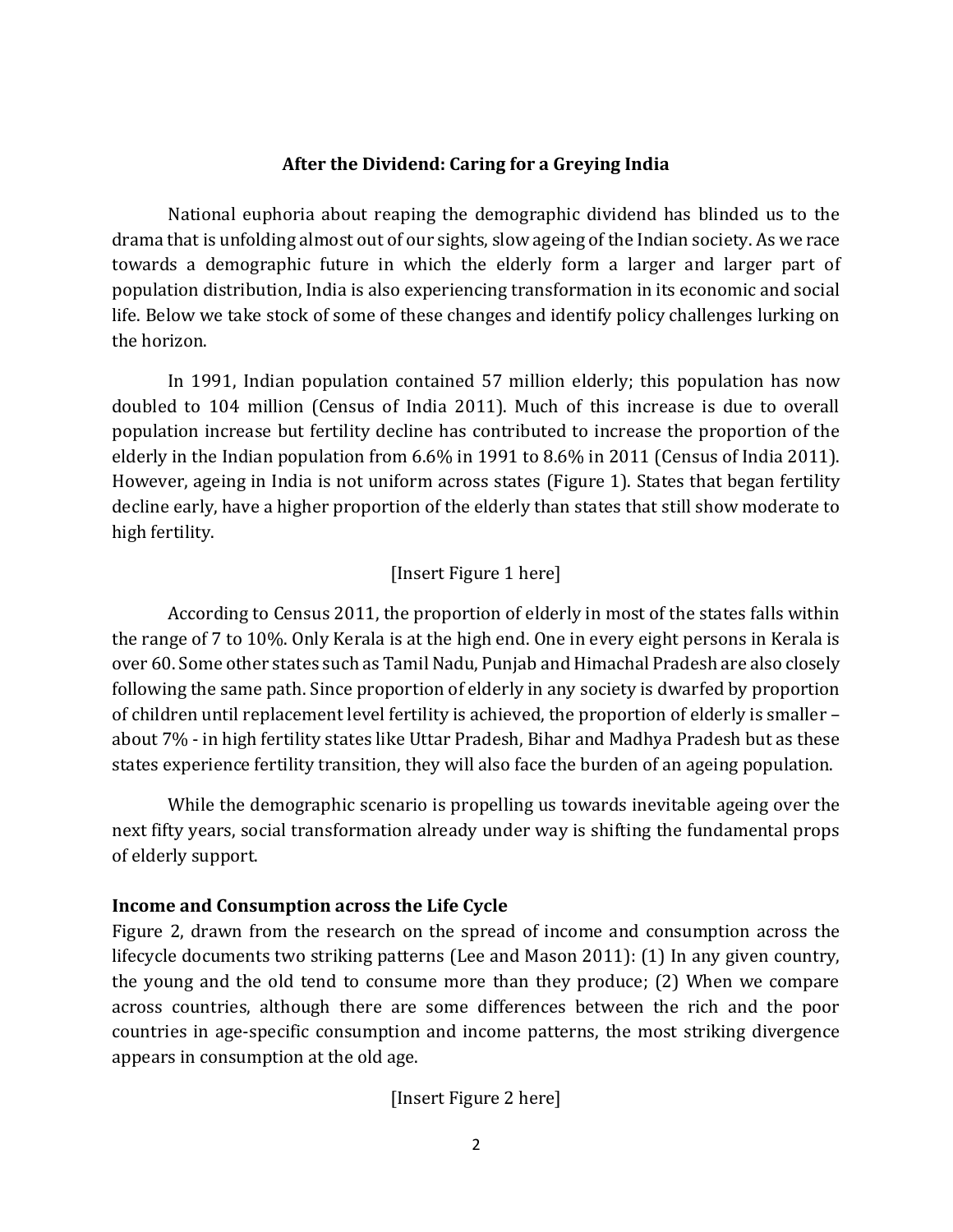#### **After the Dividend: Caring for a Greying India**

National euphoria about reaping the demographic dividend has blinded us to the drama that is unfolding almost out of our sights, slow ageing of the Indian society. As we race towards a demographic future in which the elderly form a larger and larger part of population distribution, India is also experiencing transformation in its economic and social life. Below we take stock of some of these changes and identify policy challenges lurking on the horizon.

In 1991, Indian population contained 57 million elderly; this population has now doubled to 104 million (Census of India 2011). Much of this increase is due to overall population increase but fertility decline has contributed to increase the proportion of the elderly in the Indian population from 6.6% in 1991 to 8.6% in 2011 (Census of India 2011). However, ageing in India is not uniform across states (Figure 1). States that began fertility decline early, have a higher proportion of the elderly than states that still show moderate to high fertility.

#### [Insert Figure 1 here]

 According to Census 2011, the proportion of elderly in most of the states falls within the range of 7 to 10%. Only Kerala is at the high end. One in every eight persons in Kerala is over 60. Some other states such as Tamil Nadu, Punjab and Himachal Pradesh are also closely following the same path. Since proportion of elderly in any society is dwarfed by proportion of children until replacement level fertility is achieved, the proportion of elderly is smaller – about 7% - in high fertility states like Uttar Pradesh, Bihar and Madhya Pradesh but as these states experience fertility transition, they will also face the burden of an ageing population.

 While the demographic scenario is propelling us towards inevitable ageing over the next fifty years, social transformation already under way is shifting the fundamental props of elderly support.

#### **Income and Consumption across the Life Cycle**

Figure 2, drawn from the research on the spread of income and consumption across the lifecycle documents two striking patterns (Lee and Mason 2011): (1) In any given country, the young and the old tend to consume more than they produce; (2) When we compare across countries, although there are some differences between the rich and the poor countries in age-specific consumption and income patterns, the most striking divergence appears in consumption at the old age.

[Insert Figure 2 here]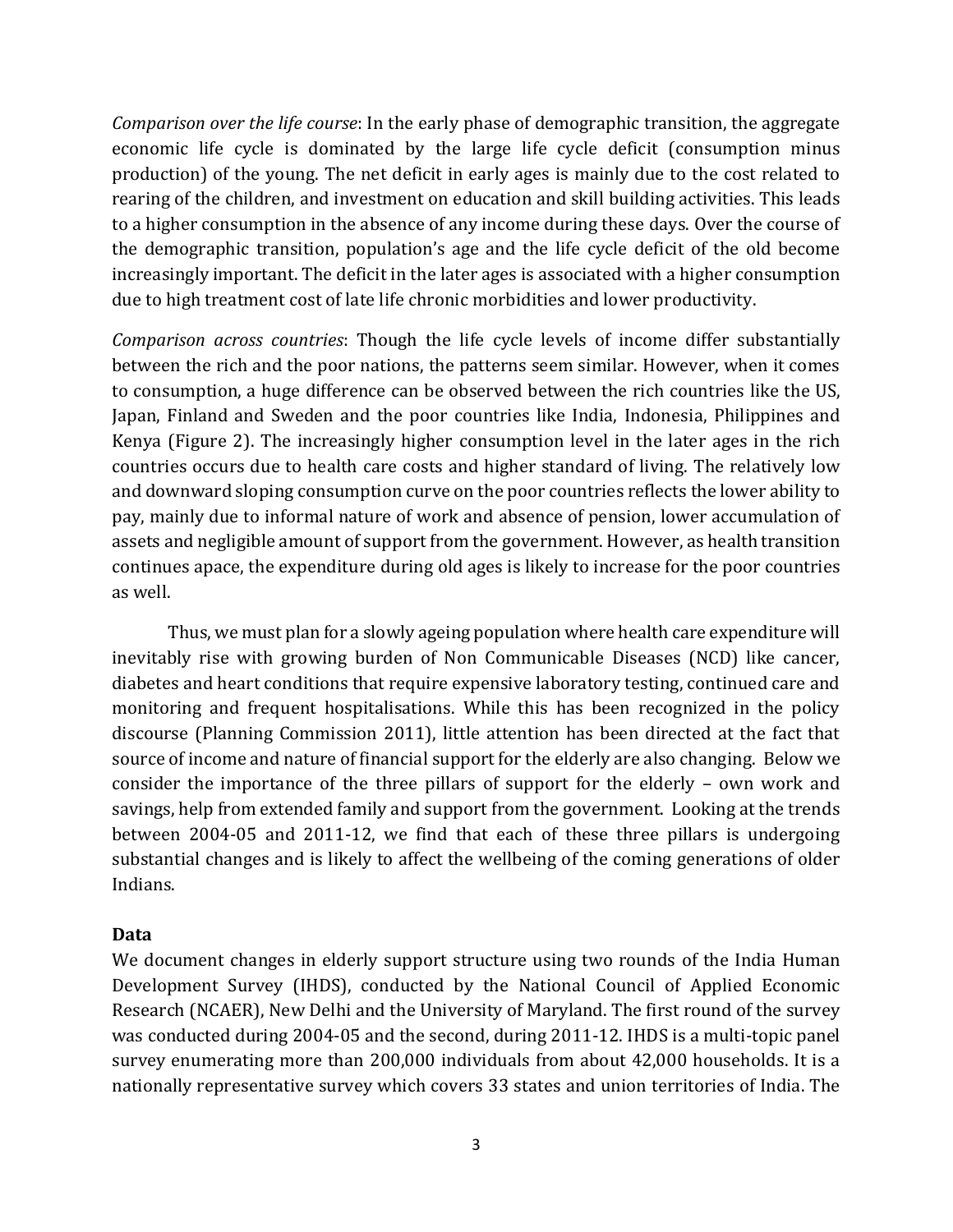*Comparison over the life course*: In the early phase of demographic transition, the aggregate economic life cycle is dominated by the large life cycle deficit (consumption minus production) of the young. The net deficit in early ages is mainly due to the cost related to rearing of the children, and investment on education and skill building activities. This leads to a higher consumption in the absence of any income during these days. Over the course of the demographic transition, population's age and the life cycle deficit of the old become increasingly important. The deficit in the later ages is associated with a higher consumption due to high treatment cost of late life chronic morbidities and lower productivity.

*Comparison across countries*: Though the life cycle levels of income differ substantially between the rich and the poor nations, the patterns seem similar. However, when it comes to consumption, a huge difference can be observed between the rich countries like the US, Japan, Finland and Sweden and the poor countries like India, Indonesia, Philippines and Kenya (Figure 2). The increasingly higher consumption level in the later ages in the rich countries occurs due to health care costs and higher standard of living. The relatively low and downward sloping consumption curve on the poor countries reflects the lower ability to pay, mainly due to informal nature of work and absence of pension, lower accumulation of assets and negligible amount of support from the government. However, as health transition continues apace, the expenditure during old ages is likely to increase for the poor countries as well.

Thus, we must plan for a slowly ageing population where health care expenditure will inevitably rise with growing burden of Non Communicable Diseases (NCD) like cancer, diabetes and heart conditions that require expensive laboratory testing, continued care and monitoring and frequent hospitalisations. While this has been recognized in the policy discourse (Planning Commission 2011), little attention has been directed at the fact that source of income and nature of financial support for the elderly are also changing. Below we consider the importance of the three pillars of support for the elderly – own work and savings, help from extended family and support from the government. Looking at the trends between 2004-05 and 2011-12, we find that each of these three pillars is undergoing substantial changes and is likely to affect the wellbeing of the coming generations of older Indians.

#### **Data**

We document changes in elderly support structure using two rounds of the India Human Development Survey (IHDS), conducted by the National Council of Applied Economic Research (NCAER), New Delhi and the University of Maryland. The first round of the survey was conducted during 2004-05 and the second, during 2011-12. IHDS is a multi-topic panel survey enumerating more than 200,000 individuals from about 42,000 households. It is a nationally representative survey which covers 33 states and union territories of India. The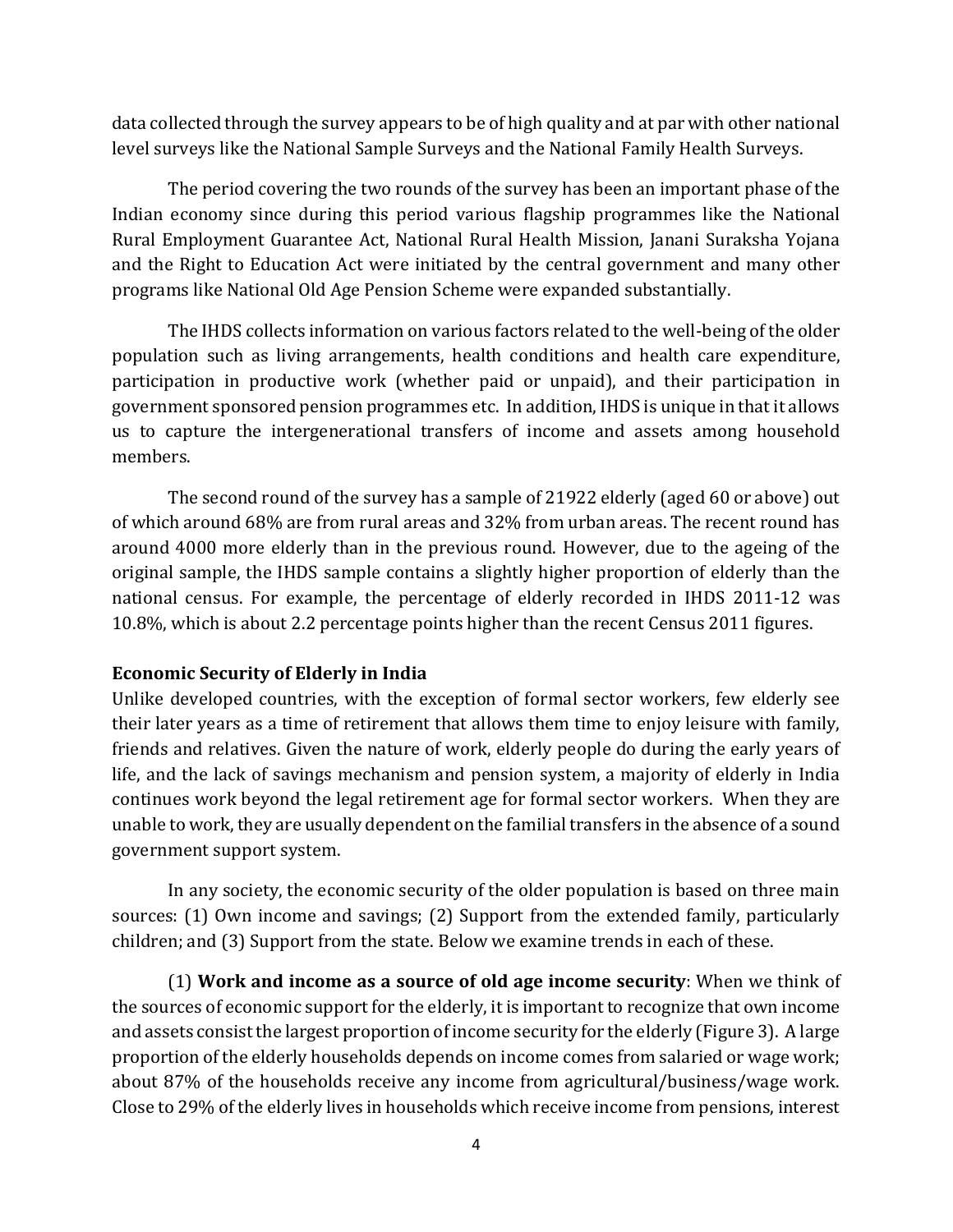data collected through the survey appears to be of high quality and at par with other national level surveys like the National Sample Surveys and the National Family Health Surveys.

The period covering the two rounds of the survey has been an important phase of the Indian economy since during this period various flagship programmes like the National Rural Employment Guarantee Act, National Rural Health Mission, Janani Suraksha Yojana and the Right to Education Act were initiated by the central government and many other programs like National Old Age Pension Scheme were expanded substantially.

The IHDS collects information on various factors related to the well-being of the older population such as living arrangements, health conditions and health care expenditure, participation in productive work (whether paid or unpaid), and their participation in government sponsored pension programmes etc. In addition, IHDS is unique in that it allows us to capture the intergenerational transfers of income and assets among household members.

The second round of the survey has a sample of 21922 elderly (aged 60 or above) out of which around 68% are from rural areas and 32% from urban areas. The recent round has around 4000 more elderly than in the previous round. However, due to the ageing of the original sample, the IHDS sample contains a slightly higher proportion of elderly than the national census. For example, the percentage of elderly recorded in IHDS 2011-12 was 10.8%, which is about 2.2 percentage points higher than the recent Census 2011 figures.

#### **Economic Security of Elderly in India**

Unlike developed countries, with the exception of formal sector workers, few elderly see their later years as a time of retirement that allows them time to enjoy leisure with family, friends and relatives. Given the nature of work, elderly people do during the early years of life, and the lack of savings mechanism and pension system, a majority of elderly in India continues work beyond the legal retirement age for formal sector workers. When they are unable to work, they are usually dependent on the familial transfers in the absence of a sound government support system.

In any society, the economic security of the older population is based on three main sources: (1) Own income and savings; (2) Support from the extended family, particularly children; and (3) Support from the state. Below we examine trends in each of these.

(1) **Work and income as a source of old age income security**: When we think of the sources of economic support for the elderly, it is important to recognize that own income and assets consist the largest proportion of income security for the elderly (Figure 3). A large proportion of the elderly households depends on income comes from salaried or wage work; about 87% of the households receive any income from agricultural/business/wage work. Close to 29% of the elderly lives in households which receive income from pensions, interest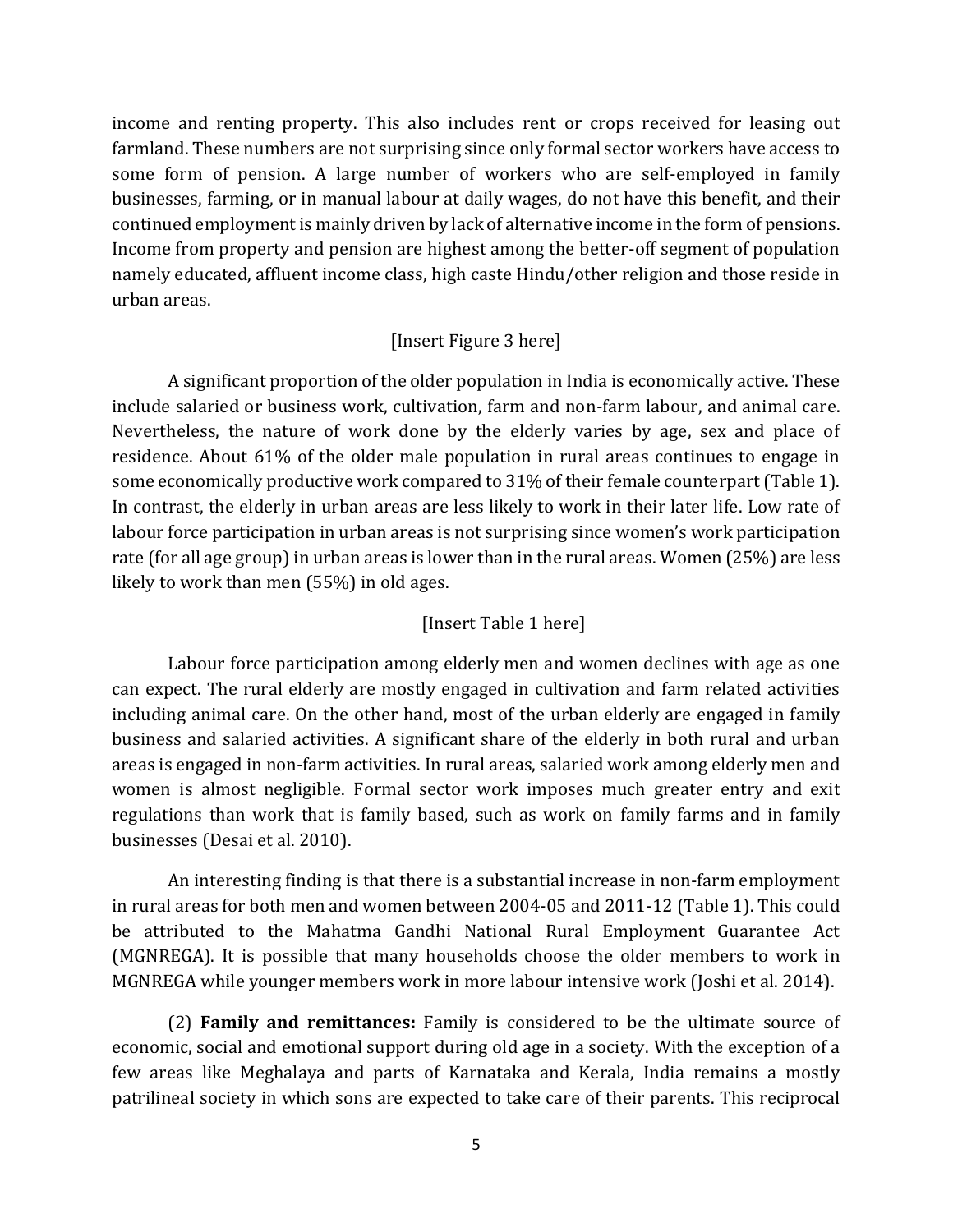income and renting property. This also includes rent or crops received for leasing out farmland. These numbers are not surprising since only formal sector workers have access to some form of pension. A large number of workers who are self-employed in family businesses, farming, or in manual labour at daily wages, do not have this benefit, and their continued employment is mainly driven by lack of alternative income in the form of pensions. Income from property and pension are highest among the better-off segment of population namely educated, affluent income class, high caste Hindu/other religion and those reside in urban areas.

#### [Insert Figure 3 here]

A significant proportion of the older population in India is economically active. These include salaried or business work, cultivation, farm and non-farm labour, and animal care. Nevertheless, the nature of work done by the elderly varies by age, sex and place of residence. About 61% of the older male population in rural areas continues to engage in some economically productive work compared to 31% of their female counterpart (Table 1). In contrast, the elderly in urban areas are less likely to work in their later life. Low rate of labour force participation in urban areas is not surprising since women's work participation rate (for all age group) in urban areas is lower than in the rural areas. Women (25%) are less likely to work than men (55%) in old ages.

#### [Insert Table 1 here]

Labour force participation among elderly men and women declines with age as one can expect. The rural elderly are mostly engaged in cultivation and farm related activities including animal care. On the other hand, most of the urban elderly are engaged in family business and salaried activities. A significant share of the elderly in both rural and urban areas is engaged in non-farm activities. In rural areas, salaried work among elderly men and women is almost negligible. Formal sector work imposes much greater entry and exit regulations than work that is family based, such as work on family farms and in family businesses (Desai et al. 2010).

An interesting finding is that there is a substantial increase in non-farm employment in rural areas for both men and women between 2004-05 and 2011-12 (Table 1). This could be attributed to the Mahatma Gandhi National Rural Employment Guarantee Act (MGNREGA). It is possible that many households choose the older members to work in MGNREGA while younger members work in more labour intensive work (Joshi et al. 2014).

(2) **Family and remittances:** Family is considered to be the ultimate source of economic, social and emotional support during old age in a society. With the exception of a few areas like Meghalaya and parts of Karnataka and Kerala, India remains a mostly patrilineal society in which sons are expected to take care of their parents. This reciprocal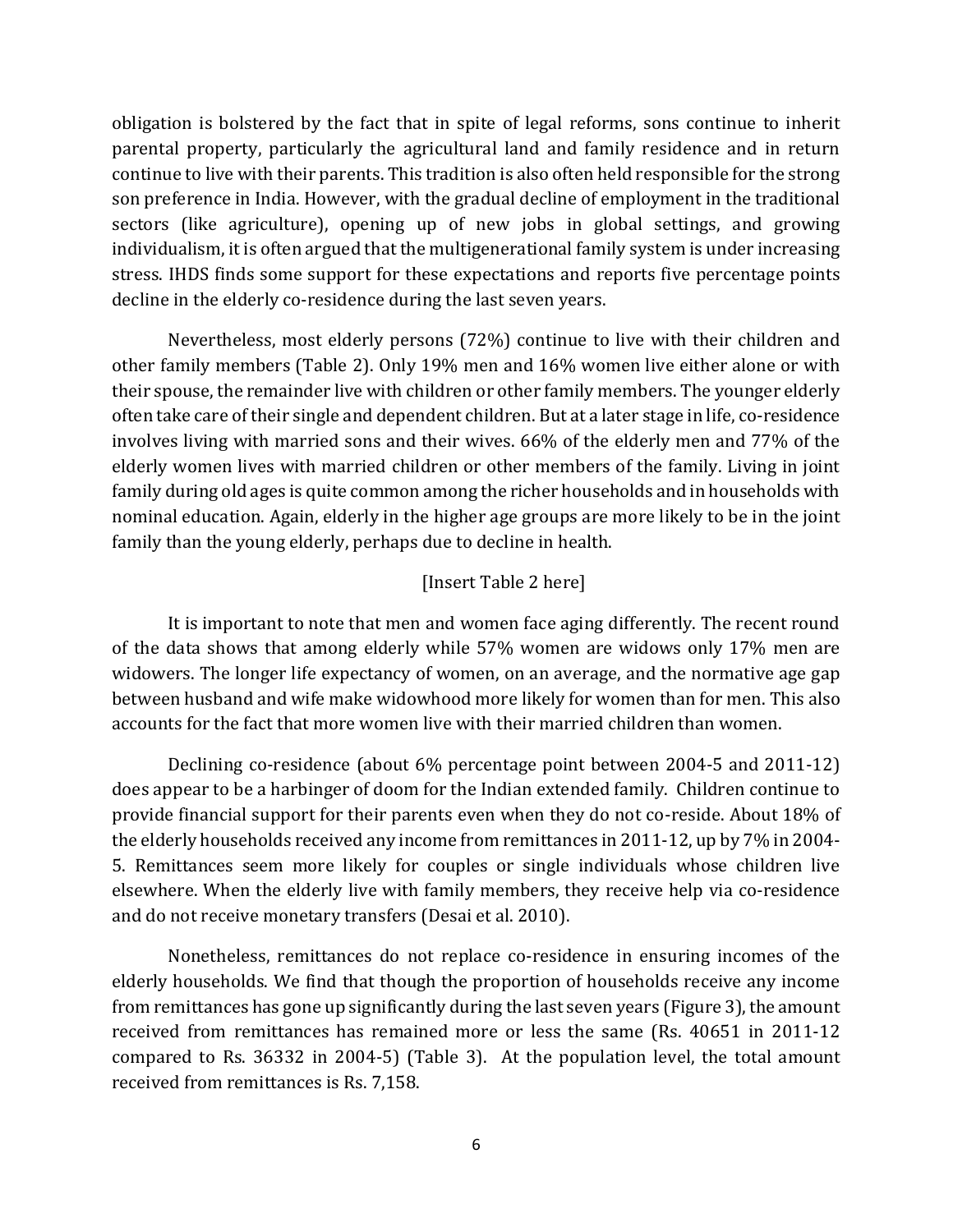obligation is bolstered by the fact that in spite of legal reforms, sons continue to inherit parental property, particularly the agricultural land and family residence and in return continue to live with their parents. This tradition is also often held responsible for the strong son preference in India. However, with the gradual decline of employment in the traditional sectors (like agriculture), opening up of new jobs in global settings, and growing individualism, it is often argued that the multigenerational family system is under increasing stress. IHDS finds some support for these expectations and reports five percentage points decline in the elderly co-residence during the last seven years.

Nevertheless, most elderly persons (72%) continue to live with their children and other family members (Table 2). Only 19% men and 16% women live either alone or with their spouse, the remainder live with children or other family members. The younger elderly often take care of their single and dependent children. But at a later stage in life, co-residence involves living with married sons and their wives. 66% of the elderly men and 77% of the elderly women lives with married children or other members of the family. Living in joint family during old ages is quite common among the richer households and in households with nominal education. Again, elderly in the higher age groups are more likely to be in the joint family than the young elderly, perhaps due to decline in health.

#### [Insert Table 2 here]

It is important to note that men and women face aging differently. The recent round of the data shows that among elderly while 57% women are widows only 17% men are widowers. The longer life expectancy of women, on an average, and the normative age gap between husband and wife make widowhood more likely for women than for men. This also accounts for the fact that more women live with their married children than women.

Declining co-residence (about 6% percentage point between 2004-5 and 2011-12) does appear to be a harbinger of doom for the Indian extended family. Children continue to provide financial support for their parents even when they do not co-reside. About 18% of the elderly households received any income from remittances in 2011-12, up by 7% in 2004- 5. Remittances seem more likely for couples or single individuals whose children live elsewhere. When the elderly live with family members, they receive help via co-residence and do not receive monetary transfers (Desai et al. 2010).

Nonetheless, remittances do not replace co-residence in ensuring incomes of the elderly households. We find that though the proportion of households receive any income from remittances has gone up significantly during the last seven years (Figure 3), the amount received from remittances has remained more or less the same (Rs. 40651 in 2011-12 compared to Rs. 36332 in 2004-5) (Table 3). At the population level, the total amount received from remittances is Rs. 7,158.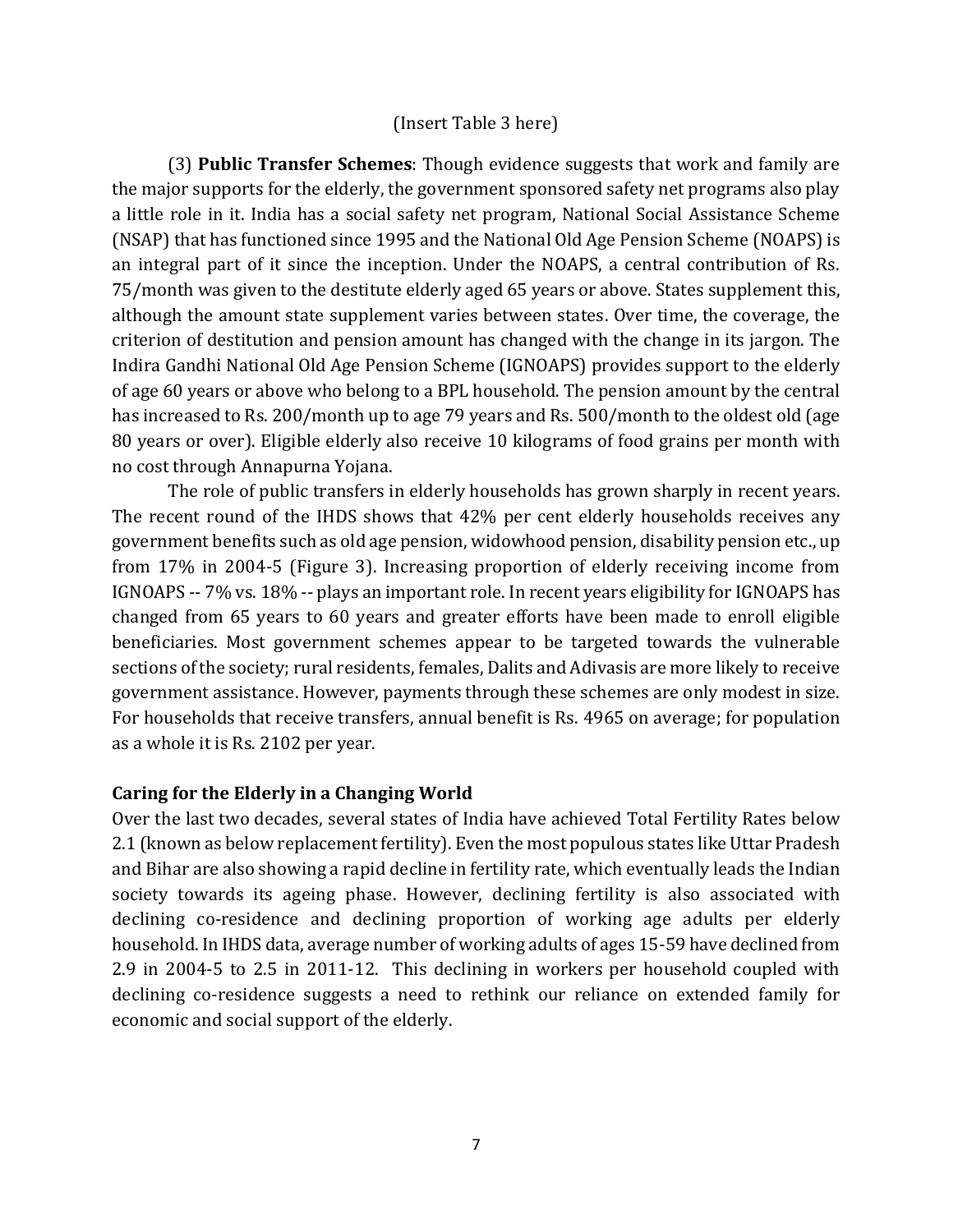#### (Insert Table 3 here)

(3) **Public Transfer Schemes**: Though evidence suggests that work and family are the major supports for the elderly, the government sponsored safety net programs also play a little role in it. India has a social safety net program, National Social Assistance Scheme (NSAP) that has functioned since 1995 and the National Old Age Pension Scheme (NOAPS) is an integral part of it since the inception. Under the NOAPS, a central contribution of Rs. 75/month was given to the destitute elderly aged 65 years or above. States supplement this, although the amount state supplement varies between states. Over time, the coverage, the criterion of destitution and pension amount has changed with the change in its jargon. The Indira Gandhi National Old Age Pension Scheme (IGNOAPS) provides support to the elderly of age 60 years or above who belong to a BPL household. The pension amount by the central has increased to Rs. 200/month up to age 79 years and Rs. 500/month to the oldest old (age 80 years or over). Eligible elderly also receive 10 kilograms of food grains per month with no cost through Annapurna Yojana.

The role of public transfers in elderly households has grown sharply in recent years. The recent round of the IHDS shows that 42% per cent elderly households receives any government benefits such as old age pension, widowhood pension, disability pension etc., up from 17% in 2004-5 (Figure 3). Increasing proportion of elderly receiving income from IGNOAPS -- 7% vs. 18% -- plays an important role. In recent years eligibility for IGNOAPS has changed from 65 years to 60 years and greater efforts have been made to enroll eligible beneficiaries. Most government schemes appear to be targeted towards the vulnerable sections of the society; rural residents, females, Dalits and Adivasis are more likely to receive government assistance. However, payments through these schemes are only modest in size. For households that receive transfers, annual benefit is Rs. 4965 on average; for population as a whole it is Rs. 2102 per year.

#### **Caring for the Elderly in a Changing World**

Over the last two decades, several states of India have achieved Total Fertility Rates below 2.1 (known as below replacement fertility). Even the most populous states like Uttar Pradesh and Bihar are also showing a rapid decline in fertility rate, which eventually leads the Indian society towards its ageing phase. However, declining fertility is also associated with declining co-residence and declining proportion of working age adults per elderly household. In IHDS data, average number of working adults of ages 15-59 have declined from 2.9 in 2004-5 to 2.5 in 2011-12. This declining in workers per household coupled with declining co-residence suggests a need to rethink our reliance on extended family for economic and social support of the elderly.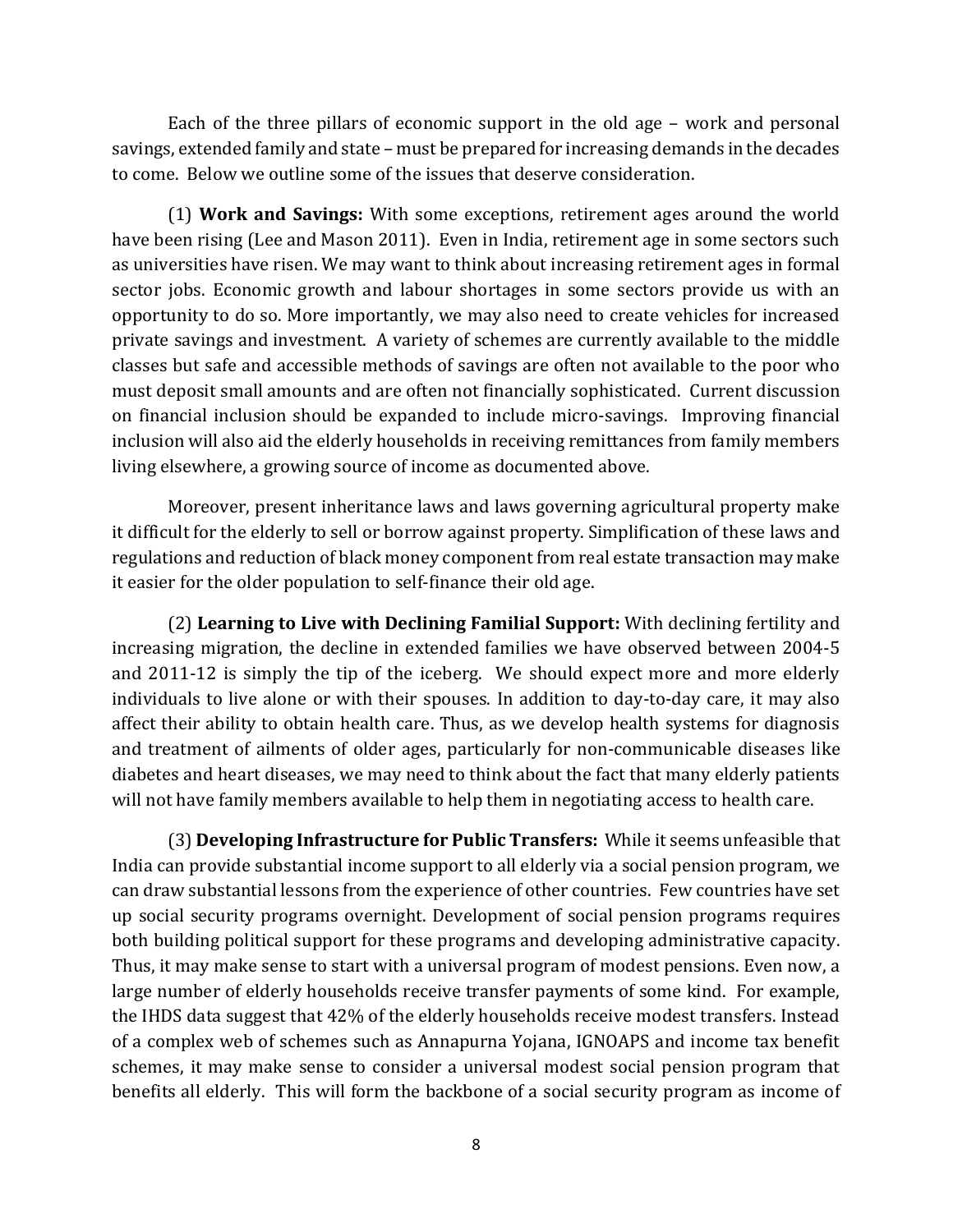Each of the three pillars of economic support in the old age – work and personal savings, extended family and state – must be prepared for increasing demands in the decades to come. Below we outline some of the issues that deserve consideration.

(1) **Work and Savings:** With some exceptions, retirement ages around the world have been rising (Lee and Mason 2011). Even in India, retirement age in some sectors such as universities have risen. We may want to think about increasing retirement ages in formal sector jobs. Economic growth and labour shortages in some sectors provide us with an opportunity to do so. More importantly, we may also need to create vehicles for increased private savings and investment. A variety of schemes are currently available to the middle classes but safe and accessible methods of savings are often not available to the poor who must deposit small amounts and are often not financially sophisticated. Current discussion on financial inclusion should be expanded to include micro-savings. Improving financial inclusion will also aid the elderly households in receiving remittances from family members living elsewhere, a growing source of income as documented above.

Moreover, present inheritance laws and laws governing agricultural property make it difficult for the elderly to sell or borrow against property. Simplification of these laws and regulations and reduction of black money component from real estate transaction may make it easier for the older population to self-finance their old age.

(2) **Learning to Live with Declining Familial Support:** With declining fertility and increasing migration, the decline in extended families we have observed between 2004-5 and 2011-12 is simply the tip of the iceberg. We should expect more and more elderly individuals to live alone or with their spouses. In addition to day-to-day care, it may also affect their ability to obtain health care. Thus, as we develop health systems for diagnosis and treatment of ailments of older ages, particularly for non-communicable diseases like diabetes and heart diseases, we may need to think about the fact that many elderly patients will not have family members available to help them in negotiating access to health care.

(3) **Developing Infrastructure for Public Transfers:** While it seems unfeasible that India can provide substantial income support to all elderly via a social pension program, we can draw substantial lessons from the experience of other countries. Few countries have set up social security programs overnight. Development of social pension programs requires both building political support for these programs and developing administrative capacity. Thus, it may make sense to start with a universal program of modest pensions. Even now, a large number of elderly households receive transfer payments of some kind. For example, the IHDS data suggest that 42% of the elderly households receive modest transfers. Instead of a complex web of schemes such as Annapurna Yojana, IGNOAPS and income tax benefit schemes, it may make sense to consider a universal modest social pension program that benefits all elderly. This will form the backbone of a social security program as income of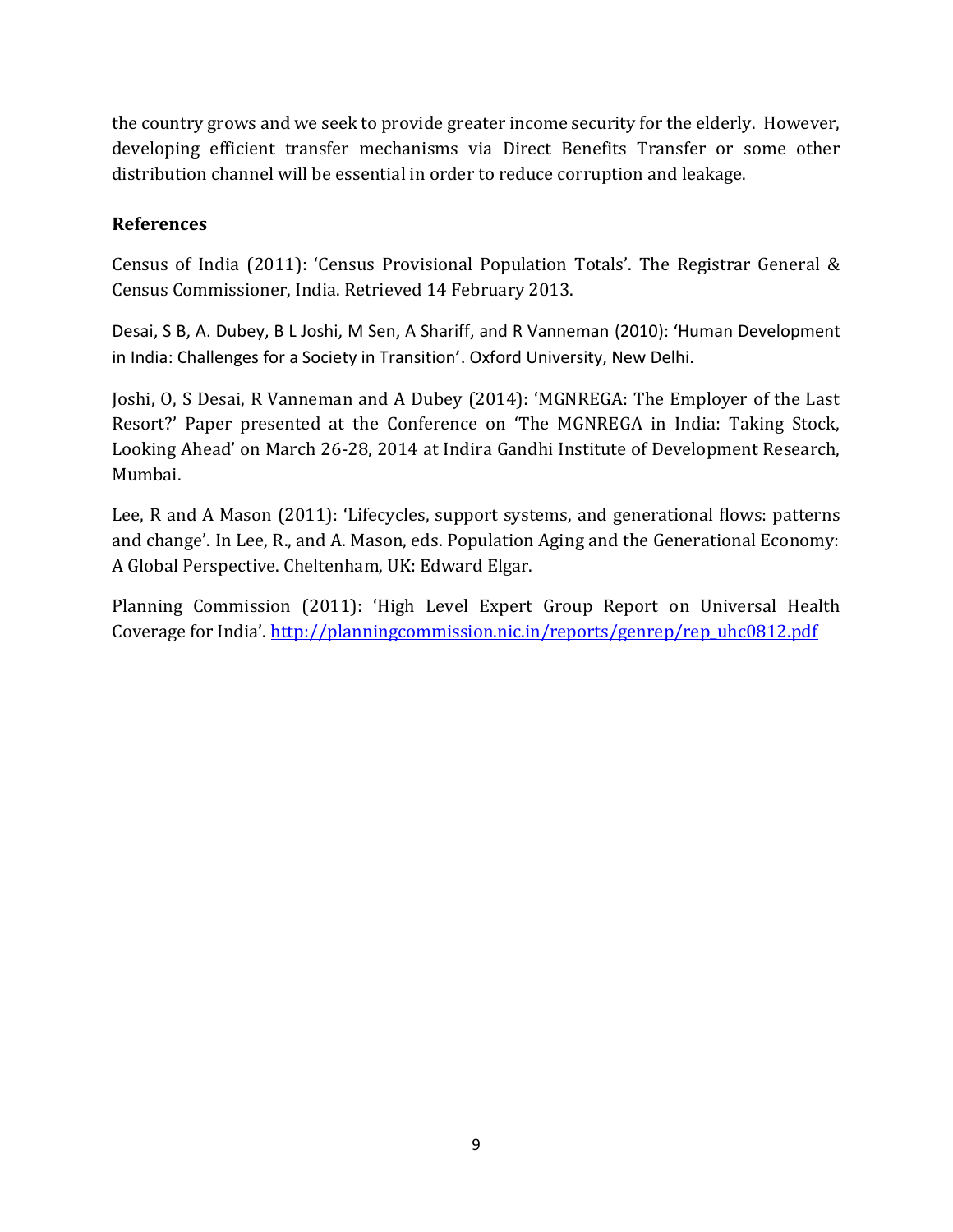the country grows and we seek to provide greater income security for the elderly. However, developing efficient transfer mechanisms via Direct Benefits Transfer or some other distribution channel will be essential in order to reduce corruption and leakage.

# **References**

Census of India (2011): 'Census Provisional Population Totals'. The Registrar General & Census Commissioner, India. Retrieved 14 February 2013.

Desai, S B, A. Dubey, B L Joshi, M Sen, A Shariff, and R Vanneman (2010): 'Human Development in India: Challenges for a Society in Transition'. Oxford University, New Delhi.

Joshi, O, S Desai, R Vanneman and A Dubey (2014): 'MGNREGA: The Employer of the Last Resort?' Paper presented at the Conference on 'The MGNREGA in India: Taking Stock, Looking Ahead' on March 26-28, 2014 at Indira Gandhi Institute of Development Research, Mumbai.

Lee, R and A Mason (2011): 'Lifecycles, support systems, and generational flows: patterns and change'. In Lee, R., and A. Mason, eds. Population Aging and the Generational Economy: A Global Perspective. Cheltenham, UK: Edward Elgar.

Planning Commission (2011): 'High Level Expert Group Report on Universal Health Coverage for India'. [http://planningcommission.nic.in/reports/genrep/rep\\_uhc0812.pdf](http://planningcommission.nic.in/reports/genrep/rep_uhc0812.pdf)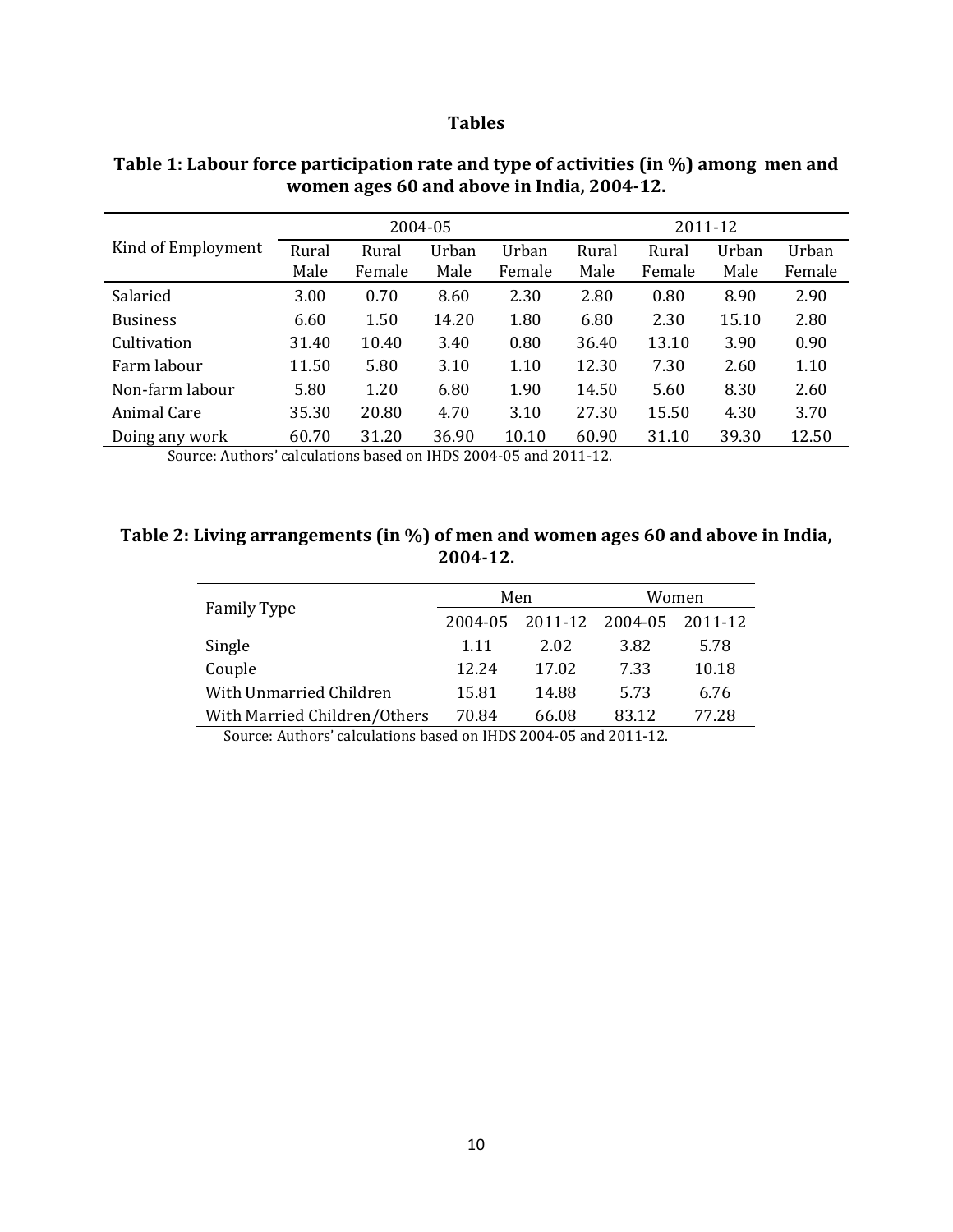#### **Tables**

|                    |               |                 | 2004-05       |                 | 2011-12       |                 |               |                 |  |
|--------------------|---------------|-----------------|---------------|-----------------|---------------|-----------------|---------------|-----------------|--|
| Kind of Employment | Rural<br>Male | Rural<br>Female | Urban<br>Male | Urban<br>Female | Rural<br>Male | Rural<br>Female | Urban<br>Male | Urban<br>Female |  |
| Salaried           | 3.00          | 0.70            | 8.60          | 2.30            | 2.80          | 0.80            | 8.90          | 2.90            |  |
| <b>Business</b>    | 6.60          | 1.50            | 14.20         | 1.80            | 6.80          | 2.30            | 15.10         | 2.80            |  |
| Cultivation        | 31.40         | 10.40           | 3.40          | 0.80            | 36.40         | 13.10           | 3.90          | 0.90            |  |
| Farm labour        | 11.50         | 5.80            | 3.10          | 1.10            | 12.30         | 7.30            | 2.60          | 1.10            |  |
| Non-farm labour    | 5.80          | 1.20            | 6.80          | 1.90            | 14.50         | 5.60            | 8.30          | 2.60            |  |
| Animal Care        | 35.30         | 20.80           | 4.70          | 3.10            | 27.30         | 15.50           | 4.30          | 3.70            |  |
| Doing any work     | 60.70         | 31.20           | 36.90         | 10.10           | 60.90         | 31.10           | 39.30         | 12.50           |  |

# **Table 1: Labour force participation rate and type of activities (in %) among men and women ages 60 and above in India, 2004-12.**

Source: Authors' calculations based on IHDS 2004-05 and 2011-12.

#### **Table 2: Living arrangements (in %) of men and women ages 60 and above in India, 2004-12.**

|                              |         | Men     | Women   |         |  |  |
|------------------------------|---------|---------|---------|---------|--|--|
| <b>Family Type</b>           | 2004-05 | 2011-12 | 2004-05 | 2011-12 |  |  |
| Single                       | 1.11    | 2.02    | 3.82    | 5.78    |  |  |
| Couple                       | 12.24   | 17.02   | 7.33    | 10.18   |  |  |
| With Unmarried Children      | 15.81   | 14.88   | 5.73    | 6.76    |  |  |
| With Married Children/Others | 70.84   | 66.08   | 83.12   | 77.28   |  |  |

Source: Authors' calculations based on IHDS 2004-05 and 2011-12.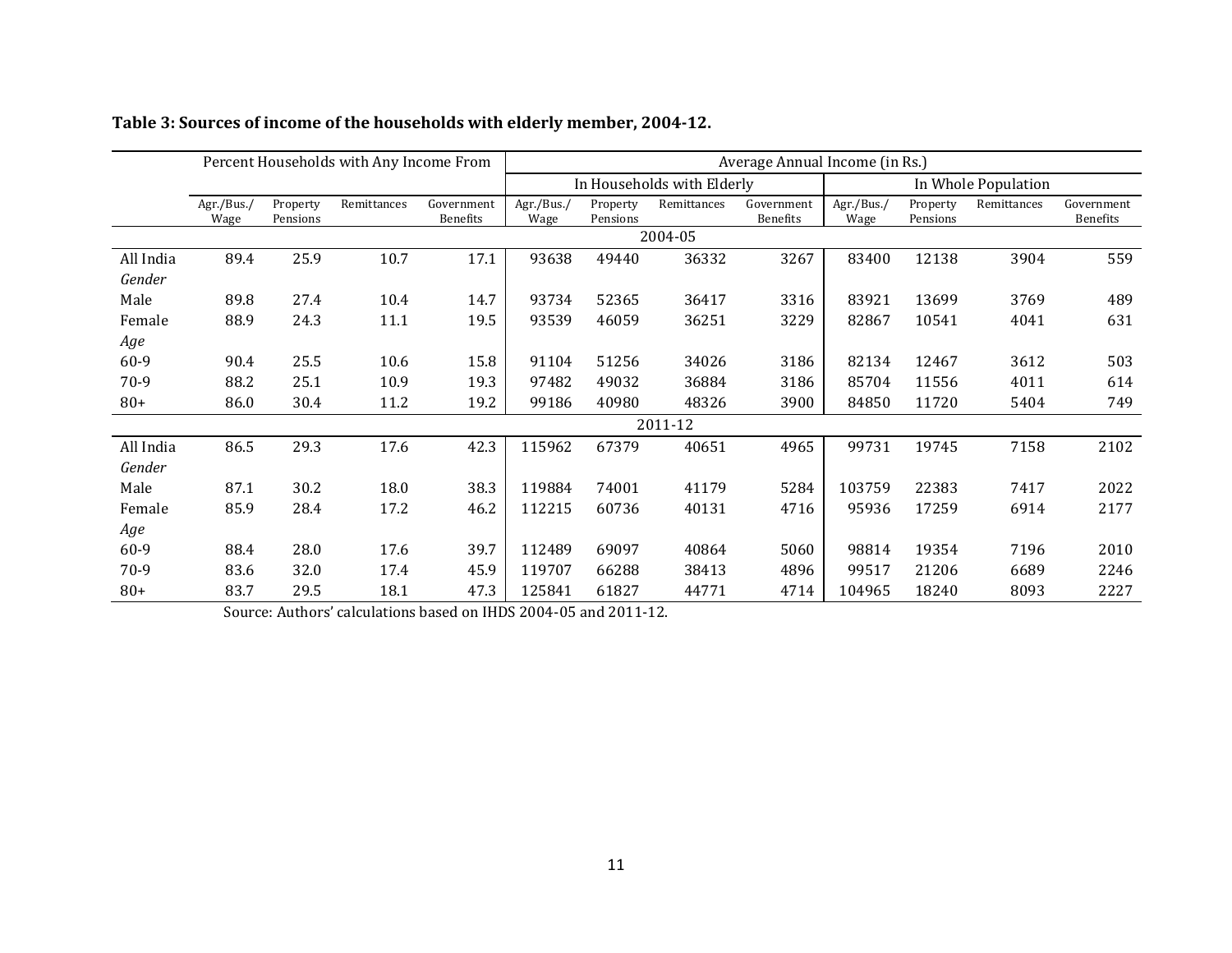|           | Percent Households with Any Income From |                      |             |                               | Average Annual Income (in Rs.) |                      |             |                               |                     |                      |             |                               |
|-----------|-----------------------------------------|----------------------|-------------|-------------------------------|--------------------------------|----------------------|-------------|-------------------------------|---------------------|----------------------|-------------|-------------------------------|
|           |                                         |                      |             |                               | In Households with Elderly     |                      |             |                               | In Whole Population |                      |             |                               |
|           | Agr./Bus./<br>Wage                      | Property<br>Pensions | Remittances | Government<br><b>Benefits</b> | Agr./Bus./<br>Wage             | Property<br>Pensions | Remittances | Government<br><b>Benefits</b> | Agr./Bus./<br>Wage  | Property<br>Pensions | Remittances | Government<br><b>Benefits</b> |
|           | 2004-05                                 |                      |             |                               |                                |                      |             |                               |                     |                      |             |                               |
| All India | 89.4                                    | 25.9                 | 10.7        | 17.1                          | 93638                          | 49440                | 36332       | 3267                          | 83400               | 12138                | 3904        | 559                           |
| Gender    |                                         |                      |             |                               |                                |                      |             |                               |                     |                      |             |                               |
| Male      | 89.8                                    | 27.4                 | 10.4        | 14.7                          | 93734                          | 52365                | 36417       | 3316                          | 83921               | 13699                | 3769        | 489                           |
| Female    | 88.9                                    | 24.3                 | 11.1        | 19.5                          | 93539                          | 46059                | 36251       | 3229                          | 82867               | 10541                | 4041        | 631                           |
| Age       |                                         |                      |             |                               |                                |                      |             |                               |                     |                      |             |                               |
| 60-9      | 90.4                                    | 25.5                 | 10.6        | 15.8                          | 91104                          | 51256                | 34026       | 3186                          | 82134               | 12467                | 3612        | 503                           |
| $70-9$    | 88.2                                    | 25.1                 | 10.9        | 19.3                          | 97482                          | 49032                | 36884       | 3186                          | 85704               | 11556                | 4011        | 614                           |
| $80+$     | 86.0                                    | 30.4                 | 11.2        | 19.2                          | 99186                          | 40980                | 48326       | 3900                          | 84850               | 11720                | 5404        | 749                           |
| 2011-12   |                                         |                      |             |                               |                                |                      |             |                               |                     |                      |             |                               |
| All India | 86.5                                    | 29.3                 | 17.6        | 42.3                          | 115962                         | 67379                | 40651       | 4965                          | 99731               | 19745                | 7158        | 2102                          |
| Gender    |                                         |                      |             |                               |                                |                      |             |                               |                     |                      |             |                               |
| Male      | 87.1                                    | 30.2                 | 18.0        | 38.3                          | 119884                         | 74001                | 41179       | 5284                          | 103759              | 22383                | 7417        | 2022                          |
| Female    | 85.9                                    | 28.4                 | 17.2        | 46.2                          | 112215                         | 60736                | 40131       | 4716                          | 95936               | 17259                | 6914        | 2177                          |
| Age       |                                         |                      |             |                               |                                |                      |             |                               |                     |                      |             |                               |
| 60-9      | 88.4                                    | 28.0                 | 17.6        | 39.7                          | 112489                         | 69097                | 40864       | 5060                          | 98814               | 19354                | 7196        | 2010                          |
| 70-9      | 83.6                                    | 32.0                 | 17.4        | 45.9                          | 119707                         | 66288                | 38413       | 4896                          | 99517               | 21206                | 6689        | 2246                          |
| $80+$     | 83.7                                    | 29.5                 | 18.1        | 47.3                          | 125841                         | 61827                | 44771       | 4714                          | 104965              | 18240                | 8093        | 2227                          |

# **Table 3: Sources of income of the households with elderly member, 2004-12.**

Source: Authors' calculations based on IHDS 2004-05 and 2011-12.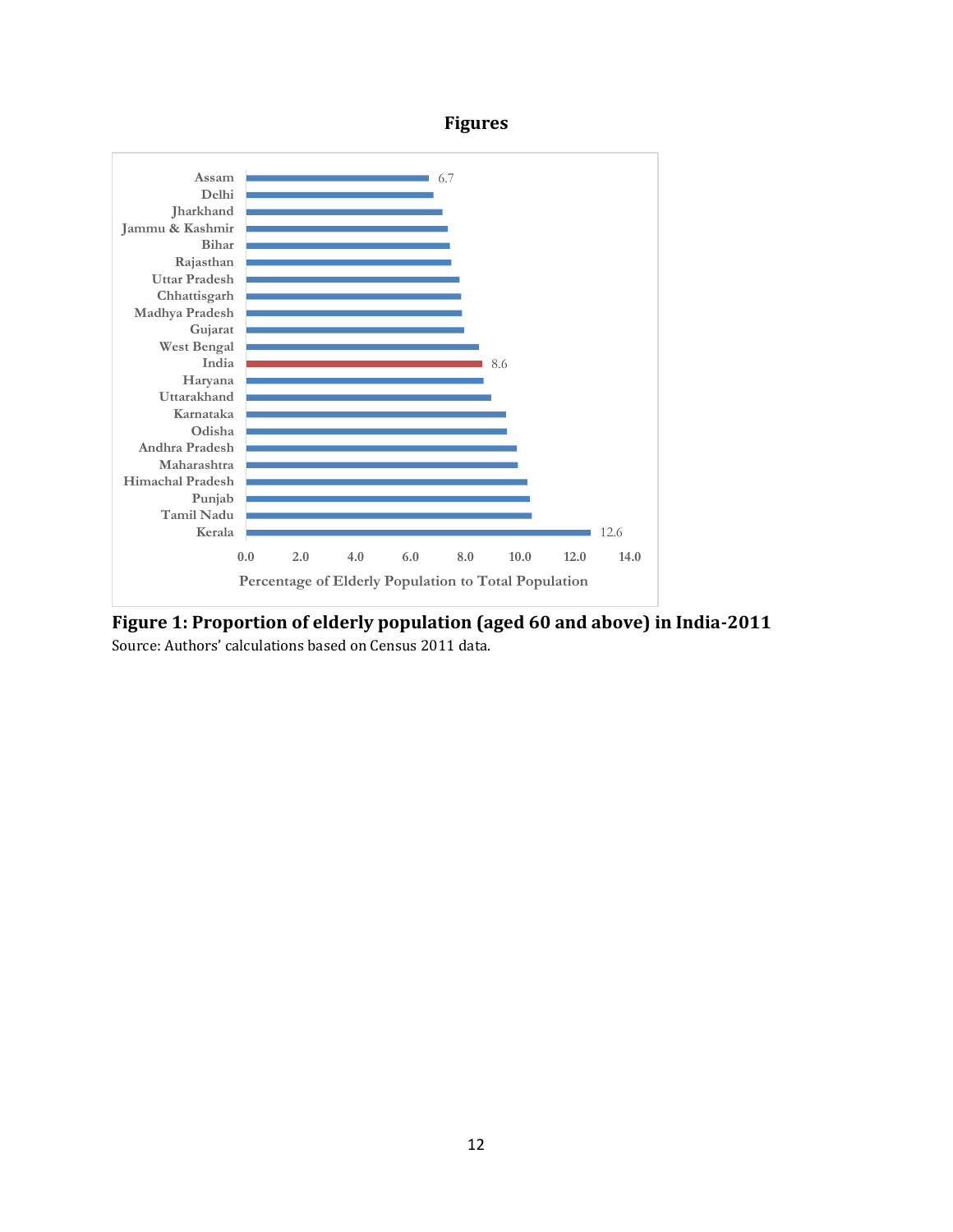# **Figures**



**Figure 1: Proportion of elderly population (aged 60 and above) in India-2011** Source: Authors' calculations based on Census 2011 data.